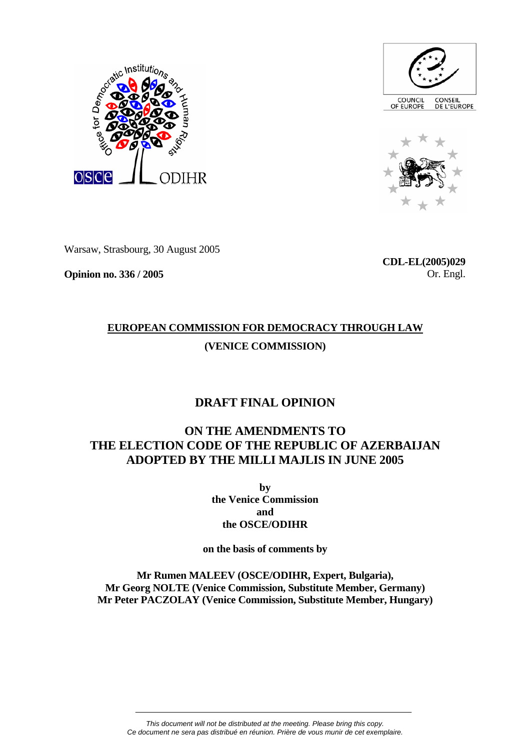





Warsaw, Strasbourg, 30 August 2005

**Opinion no. 336 / 2005** 

**CDL-EL(2005)029** Or. Engl.

# **EUROPEAN COMMISSION FOR DEMOCRACY THROUGH LAW (VENICE COMMISSION)**

## **DRAFT FINAL OPINION**

## **ON THE AMENDMENTS TO THE ELECTION CODE OF THE REPUBLIC OF AZERBAIJAN ADOPTED BY THE MILLI MAJLIS IN JUNE 2005**

**by the Venice Commission and the OSCE/ODIHR** 

**on the basis of comments by** 

**Mr Rumen MALEEV (OSCE/ODIHR, Expert, Bulgaria), Mr Georg NOLTE (Venice Commission, Substitute Member, Germany) Mr Peter PACZOLAY (Venice Commission, Substitute Member, Hungary)**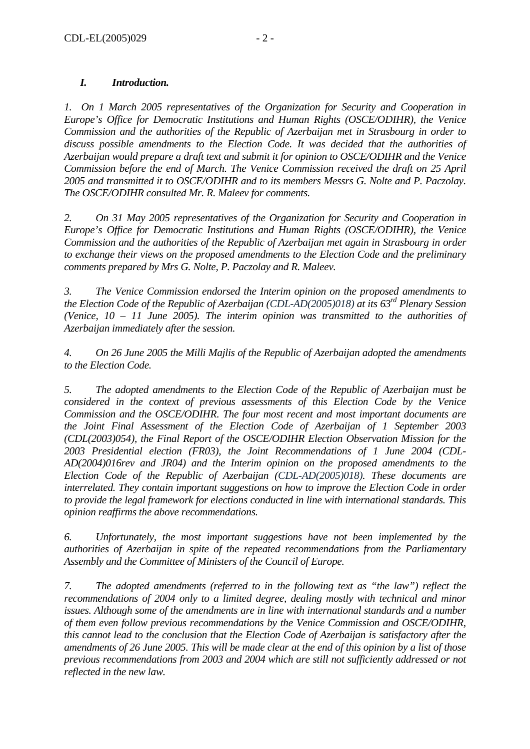## *I. Introduction.*

*1. On 1 March 2005 representatives of the Organization for Security and Cooperation in Europe's Office for Democratic Institutions and Human Rights (OSCE/ODIHR), the Venice Commission and the authorities of the Republic of Azerbaijan met in Strasbourg in order to discuss possible amendments to the Election Code. It was decided that the authorities of Azerbaijan would prepare a draft text and submit it for opinion to OSCE/ODIHR and the Venice Commission before the end of March. The Venice Commission received the draft on 25 April 2005 and transmitted it to OSCE/ODIHR and to its members Messrs G. Nolte and P. Paczolay. The OSCE/ODIHR consulted Mr. R. Maleev for comments.* 

*2. On 31 May 2005 representatives of the Organization for Security and Cooperation in Europe's Office for Democratic Institutions and Human Rights (OSCE/ODIHR), the Venice Commission and the authorities of the Republic of Azerbaijan met again in Strasbourg in order to exchange their views on the proposed amendments to the Election Code and the preliminary comments prepared by Mrs G. Nolte, P. Paczolay and R. Maleev.* 

*3. The Venice Commission endorsed the Interim opinion on the proposed amendments to the Election Code of the Republic of Azerbaijan (CDL-AD(2005)018) at its 63rd Plenary Session (Venice, 10 – 11 June 2005). The interim opinion was transmitted to the authorities of Azerbaijan immediately after the session.* 

*4. On 26 June 2005 the Milli Majlis of the Republic of Azerbaijan adopted the amendments to the Election Code.* 

*5. The adopted amendments to the Election Code of the Republic of Azerbaijan must be considered in the context of previous assessments of this Election Code by the Venice Commission and the OSCE/ODIHR. The four most recent and most important documents are the Joint Final Assessment of the Election Code of Azerbaijan of 1 September 2003 (CDL(2003)054), the Final Report of the OSCE/ODIHR Election Observation Mission for the 2003 Presidential election (FR03), the Joint Recommendations of 1 June 2004 (CDL-AD(2004)016rev and JR04) and the Interim opinion on the proposed amendments to the Election Code of the Republic of Azerbaijan (CDL-AD(2005)018). These documents are interrelated. They contain important suggestions on how to improve the Election Code in order to provide the legal framework for elections conducted in line with international standards. This opinion reaffirms the above recommendations.* 

*6. Unfortunately, the most important suggestions have not been implemented by the authorities of Azerbaijan in spite of the repeated recommendations from the Parliamentary Assembly and the Committee of Ministers of the Council of Europe.* 

*7. The adopted amendments (referred to in the following text as "the law") reflect the recommendations of 2004 only to a limited degree, dealing mostly with technical and minor issues. Although some of the amendments are in line with international standards and a number of them even follow previous recommendations by the Venice Commission and OSCE/ODIHR, this cannot lead to the conclusion that the Election Code of Azerbaijan is satisfactory after the amendments of 26 June 2005. This will be made clear at the end of this opinion by a list of those previous recommendations from 2003 and 2004 which are still not sufficiently addressed or not reflected in the new law.*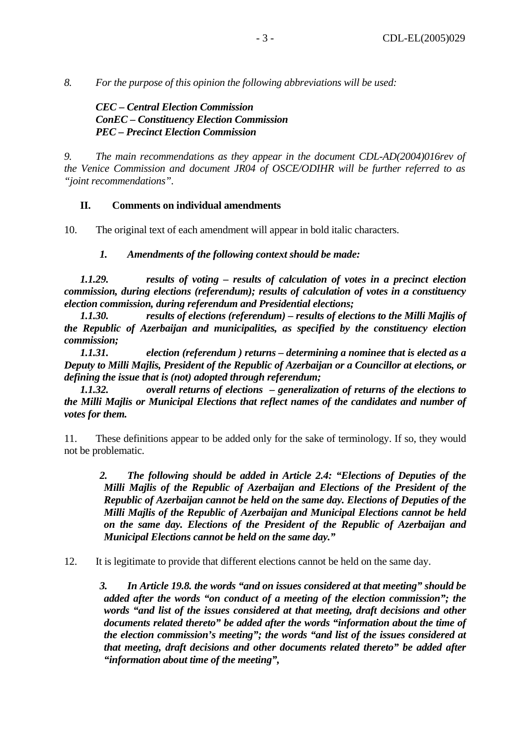*8. For the purpose of this opinion the following abbreviations will be used:* 

*CEC – Central Election Commission ConEC – Constituency Election Commission PEC – Precinct Election Commission* 

*9. The main recommendations as they appear in the document CDL-AD(2004)016rev of the Venice Commission and document JR04 of OSCE/ODIHR will be further referred to as "joint recommendations".*

#### **II. Comments on individual amendments**

10. The original text of each amendment will appear in bold italic characters.

*1. Amendments of the following context should be made:* 

*1.1.29. results of voting – results of calculation of votes in a precinct election commission, during elections (referendum); results of calculation of votes in a constituency election commission, during referendum and Presidential elections;* 

*1.1.30. results of elections (referendum) – results of elections to the Milli Majlis of the Republic of Azerbaijan and municipalities, as specified by the constituency election commission;* 

*1.1.31. election (referendum ) returns – determining a nominee that is elected as a Deputy to Milli Majlis, President of the Republic of Azerbaijan or a Councillor at elections, or defining the issue that is (not) adopted through referendum;* 

*1.1.32. overall returns of elections – generalization of returns of the elections to the Milli Majlis or Municipal Elections that reflect names of the candidates and number of votes for them.* 

11. These definitions appear to be added only for the sake of terminology. If so, they would not be problematic.

*2. The following should be added in Article 2.4: "Elections of Deputies of the Milli Majlis of the Republic of Azerbaijan and Elections of the President of the Republic of Azerbaijan cannot be held on the same day. Elections of Deputies of the Milli Majlis of the Republic of Azerbaijan and Municipal Elections cannot be held on the same day. Elections of the President of the Republic of Azerbaijan and Municipal Elections cannot be held on the same day."* 

12. It is legitimate to provide that different elections cannot be held on the same day.

*3. In Article 19.8. the words "and on issues considered at that meeting" should be added after the words "on conduct of a meeting of the election commission"; the words "and list of the issues considered at that meeting, draft decisions and other documents related thereto" be added after the words "information about the time of the election commission's meeting"; the words "and list of the issues considered at that meeting, draft decisions and other documents related thereto" be added after "information about time of the meeting",*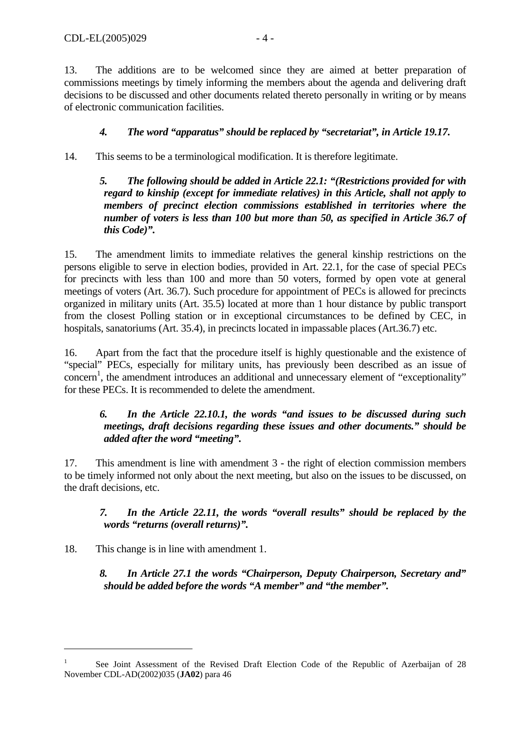13. The additions are to be welcomed since they are aimed at better preparation of commissions meetings by timely informing the members about the agenda and delivering draft decisions to be discussed and other documents related thereto personally in writing or by means of electronic communication facilities.

## *4. The word "apparatus" should be replaced by "secretariat", in Article 19.17***.**

14. This seems to be a terminological modification. It is therefore legitimate.

*5. The following should be added in Article 22.1: "(Restrictions provided for with regard to kinship (except for immediate relatives) in this Article, shall not apply to members of precinct election commissions established in territories where the number of voters is less than 100 but more than 50, as specified in Article 36.7 of this Code)".* 

15. The amendment limits to immediate relatives the general kinship restrictions on the persons eligible to serve in election bodies, provided in Art. 22.1, for the case of special PECs for precincts with less than 100 and more than 50 voters, formed by open vote at general meetings of voters (Art. 36.7). Such procedure for appointment of PECs is allowed for precincts organized in military units (Art. 35.5) located at more than 1 hour distance by public transport from the closest Polling station or in exceptional circumstances to be defined by CEC, in hospitals, sanatoriums (Art. 35.4), in precincts located in impassable places (Art.36.7) etc.

16. Apart from the fact that the procedure itself is highly questionable and the existence of "special" PECs, especially for military units, has previously been described as an issue of concern<sup>1</sup>, the amendment introduces an additional and unnecessary element of "exceptionality" for these PECs. It is recommended to delete the amendment.

#### *6. In the Article 22.10.1, the words "and issues to be discussed during such meetings, draft decisions regarding these issues and other documents." should be added after the word "meeting".*

17. This amendment is line with amendment 3 - the right of election commission members to be timely informed not only about the next meeting, but also on the issues to be discussed, on the draft decisions, etc.

## *7. In the Article 22.11, the words "overall results" should be replaced by the words "returns (overall returns)".*

18. This change is in line with amendment 1.

 $\overline{a}$ 

*8. In Article 27.1 the words "Chairperson, Deputy Chairperson, Secretary and" should be added before the words "A member" and "the member".* 

<span id="page-3-0"></span><sup>1</sup> See Joint Assessment of the Revised Draft Election Code of the Republic of Azerbaijan of 28 November CDL-AD(2002)035 (**JA02**) para 46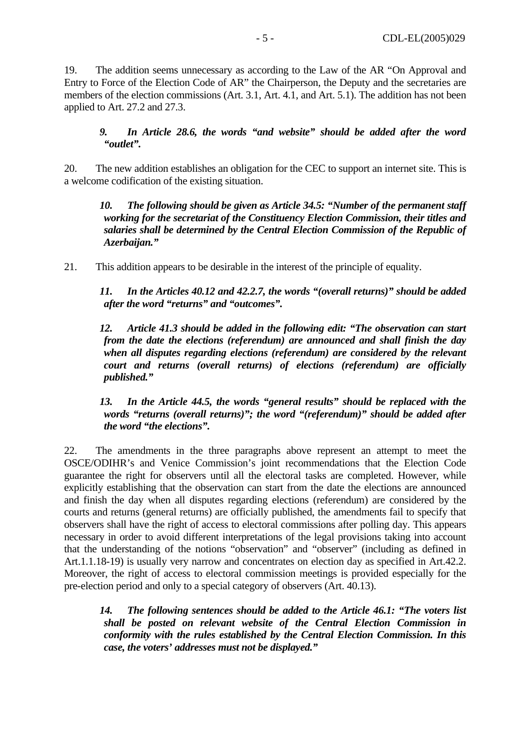19. The addition seems unnecessary as according to the Law of the AR "On Approval and Entry to Force of the Election Code of AR" the Chairperson, the Deputy and the secretaries are members of the election commissions (Art. 3.1, Art. 4.1, and Art. 5.1). The addition has not been applied to Art. 27.2 and 27.3.

*9. In Article 28.6, the words "and website" should be added after the word "outlet".* 

20. The new addition establishes an obligation for the CEC to support an internet site. This is a welcome codification of the existing situation.

*10. The following should be given as Article 34.5: "Number of the permanent staff working for the secretariat of the Constituency Election Commission, their titles and salaries shall be determined by the Central Election Commission of the Republic of Azerbaijan."* 

21. This addition appears to be desirable in the interest of the principle of equality.

*11. In the Articles 40.12 and 42.2.7, the words "(overall returns)" should be added after the word "returns" and "outcomes".* 

*12. Article 41.3 should be added in the following edit: "The observation can start from the date the elections (referendum) are announced and shall finish the day when all disputes regarding elections (referendum) are considered by the relevant court and returns (overall returns) of elections (referendum) are officially published."* 

*13. In the Article 44.5, the words "general results" should be replaced with the words "returns (overall returns)"; the word "(referendum)" should be added after the word "the elections".* 

22. The amendments in the three paragraphs above represent an attempt to meet the OSCE/ODIHR's and Venice Commission's joint recommendations that the Election Code guarantee the right for observers until all the electoral tasks are completed. However, while explicitly establishing that the observation can start from the date the elections are announced and finish the day when all disputes regarding elections (referendum) are considered by the courts and returns (general returns) are officially published, the amendments fail to specify that observers shall have the right of access to electoral commissions after polling day. This appears necessary in order to avoid different interpretations of the legal provisions taking into account that the understanding of the notions "observation" and "observer" (including as defined in Art.1.1.18-19) is usually very narrow and concentrates on election day as specified in Art.42.2. Moreover, the right of access to electoral commission meetings is provided especially for the pre-election period and only to a special category of observers (Art. 40.13).

*14. The following sentences should be added to the Article 46.1: "The voters list shall be posted on relevant website of the Central Election Commission in conformity with the rules established by the Central Election Commission. In this case, the voters' addresses must not be displayed."*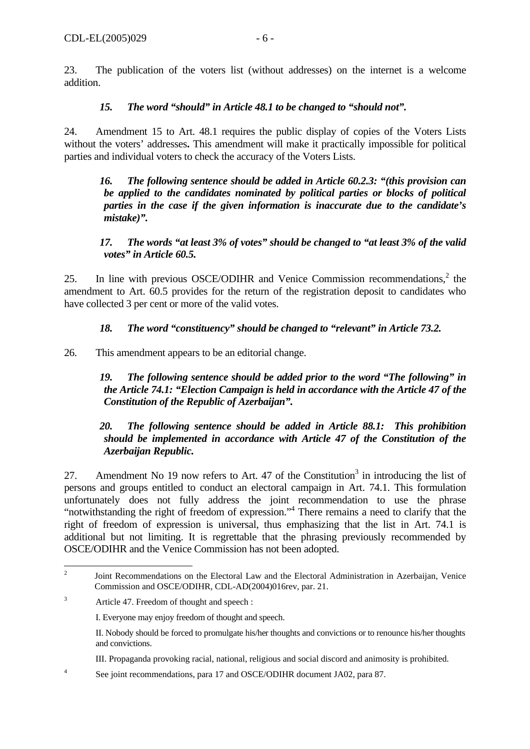23. The publication of the voters list (without addresses) on the internet is a welcome addition.

### *15. The word "should" in Article 48.1 to be changed to "should not".*

24. Amendment 15 to Art. 48.1 requires the public display of copies of the Voters Lists without the voters' addresses**.** This amendment will make it practically impossible for political parties and individual voters to check the accuracy of the Voters Lists.

*16. The following sentence should be added in Article 60.2.3: "(this provision can be applied to the candidates nominated by political parties or blocks of political parties in the case if the given information is inaccurate due to the candidate's mistake)".* 

*17. The words "at least 3% of votes" should be changed to "at least 3% of the valid votes" in Article 60.5.* 

25. In line with previous OSCE/ODIHR and Venice Commission recommendations, $2$  the amendment to Art. 60.5 provides for the return of the registration deposit to candidates who have collected 3 per cent or more of the valid votes.

## *18. The word "constituency" should be changed to "relevant" in Article 73.2.*

26. This amendment appears to be an editorial change.

*19. The following sentence should be added prior to the word "The following" in the Article 74.1: "Election Campaign is held in accordance with the Article 47 of the Constitution of the Republic of Azerbaijan".* 

#### *20. The following sentence should be added in Article 88.1: This prohibition should be implemented in accordance with Article 47 of the Constitution of the Azerbaijan Republic.*

27. Amendment No 19 now refers to Art. 47 of the Constitution<sup>3</sup> in introducing the list of persons and groups entitled to conduct an electoral campaign in Art. 74.1. This formulation unfortunately does not fully address the joint recommendation to use the phrase "notwithstanding the right of freedom of expression."<sup>4</sup> There remains a need to clarify that the right of freedom of expression is universal, thus emphasizing that the list in Art. 74.1 is additional but not limiting. It is regrettable that the phrasing previously recommended by OSCE/ODIHR and the Venice Commission has not been adopted.

<span id="page-5-0"></span> $\frac{1}{2}$  Joint Recommendations on the Electoral Law and the Electoral Administration in Azerbaijan, Venice Commission and OSCE/ODIHR, CDL-AD(2004)016rev, par. 21.

<span id="page-5-1"></span><sup>3</sup> Article 47. Freedom of thought and speech :

I. Everyone may enjoy freedom of thought and speech.

II. Nobody should be forced to promulgate his/her thoughts and convictions or to renounce his/her thoughts and convictions.

III. Propaganda provoking racial, national, religious and social discord and animosity is prohibited.

<span id="page-5-2"></span><sup>4</sup> See joint recommendations, para 17 and OSCE/ODIHR document JA02, para 87.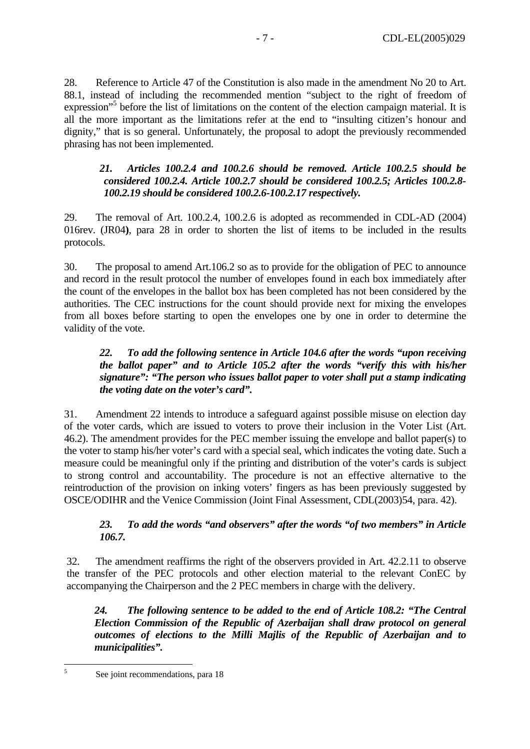28. Reference to Article 47 of the Constitution is also made in the amendment No 20 to Art. 88.1, instead of including the recommended mention "subject to the right of freedom of expression"<sup>5</sup> before the list of limitations on the content of the election campaign material. It is all the more important as the limitations refer at the end to "insulting citizen's honour and dignity," that is so general. Unfortunately, the proposal to adopt the previously recommended phrasing has not been implemented.

#### *21. Articles 100.2.4 and 100.2.6 should be removed. Article 100.2.5 should be considered 100.2.4. Article 100.2.7 should be considered 100.2.5; Articles 100.2.8- 100.2.19 should be considered 100.2.6-100.2.17 respectively.*

29. The removal of Art. 100.2.4, 100.2.6 is adopted as recommended in CDL-AD (2004) 016rev. (JR04**)**, para 28 in order to shorten the list of items to be included in the results protocols.

30. The proposal to amend Art.106.2 so as to provide for the obligation of PEC to announce and record in the result protocol the number of envelopes found in each box immediately after the count of the envelopes in the ballot box has been completed has not been considered by the authorities. The CEC instructions for the count should provide next for mixing the envelopes from all boxes before starting to open the envelopes one by one in order to determine the validity of the vote.

#### *22. To add the following sentence in Article 104.6 after the words "upon receiving the ballot paper" and to Article 105.2 after the words "verify this with his/her signature": "The person who issues ballot paper to voter shall put a stamp indicating the voting date on the voter's card".*

31. Amendment 22 intends to introduce a safeguard against possible misuse on election day of the voter cards, which are issued to voters to prove their inclusion in the Voter List (Art. 46.2). The amendment provides for the PEC member issuing the envelope and ballot paper(s) to the voter to stamp his/her voter's card with a special seal, which indicates the voting date. Such a measure could be meaningful only if the printing and distribution of the voter's cards is subject to strong control and accountability. The procedure is not an effective alternative to the reintroduction of the provision on inking voters' fingers as has been previously suggested by OSCE/ODIHR and the Venice Commission (Joint Final Assessment, CDL(2003)54, para. 42).

## *23. To add the words "and observers" after the words "of two members" in Article 106.7.*

32. The amendment reaffirms the right of the observers provided in Art. 42.2.11 to observe the transfer of the PEC protocols and other election material to the relevant ConEC by accompanying the Chairperson and the 2 PEC members in charge with the delivery.

*24. The following sentence to be added to the end of Article 108.2: "The Central Election Commission of the Republic of Azerbaijan shall draw protocol on general outcomes of elections to the Milli Majlis of the Republic of Azerbaijan and to municipalities".*

<span id="page-6-0"></span> 5

See joint recommendations, para 18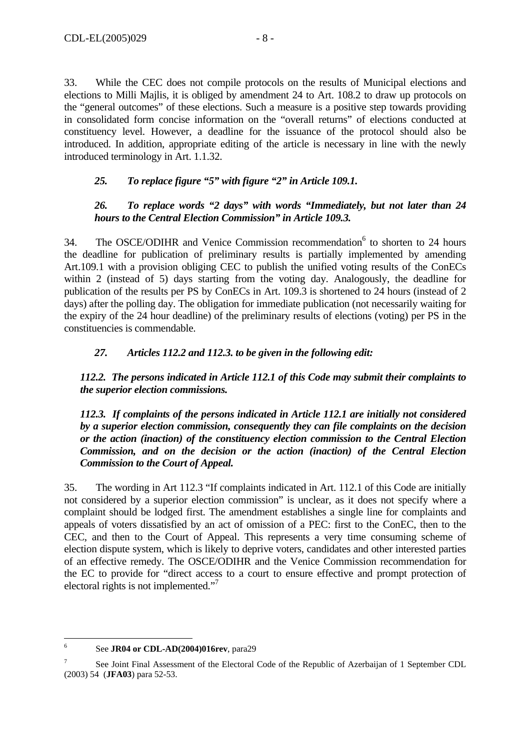33. While the CEC does not compile protocols on the results of Municipal elections and elections to Milli Majlis, it is obliged by amendment 24 to Art. 108.2 to draw up protocols on the "general outcomes" of these elections. Such a measure is a positive step towards providing in consolidated form concise information on the "overall returns" of elections conducted at constituency level. However, a deadline for the issuance of the protocol should also be introduced. In addition, appropriate editing of the article is necessary in line with the newly introduced terminology in Art. 1.1.32.

#### *25. To replace figure "5" with figure "2" in Article 109.1.*

#### *26. To replace words "2 days" with words "Immediately, but not later than 24 hours to the Central Election Commission" in Article 109.3.*

34. The OSCE/ODIHR and Venice Commission recommendation<sup>[6](#page-7-0)</sup> to shorten to 24 hours the deadline for publication of preliminary results is partially implemented by amending Art.109.1 with a provision obliging CEC to publish the unified voting results of the ConECs within 2 (instead of 5) days starting from the voting day. Analogously, the deadline for publication of the results per PS by ConECs in Art. 109.3 is shortened to 24 hours (instead of 2 days) after the polling day. The obligation for immediate publication (not necessarily waiting for the expiry of the 24 hour deadline) of the preliminary results of elections (voting) per PS in the constituencies is commendable.

#### *27. Articles 112.2 and 112.3. to be given in the following edit:*

*112.2. The persons indicated in Article 112.1 of this Code may submit their complaints to the superior election commissions.* 

*112.3. If complaints of the persons indicated in Article 112.1 are initially not considered by a superior election commission, consequently they can file complaints on the decision or the action (inaction) of the constituency election commission to the Central Election Commission, and on the decision or the action (inaction) of the Central Election Commission to the Court of Appeal.* 

35. The wording in Art 112.3 "If complaints indicated in Art. 112.1 of this Code are initially not considered by a superior election commission" is unclear, as it does not specify where a complaint should be lodged first. The amendment establishes a single line for complaints and appeals of voters dissatisfied by an act of omission of a PEC: first to the ConEC, then to the CEC, and then to the Court of Appeal. This represents a very time consuming scheme of election dispute system, which is likely to deprive voters, candidates and other interested parties of an effective remedy. The OSCE/ODIHR and the Venice Commission recommendation for the EC to provide for "direct access to a court to ensure effective and prompt protection of electoral rights is not implemented."<sup>[7](#page-7-1)</sup>

 6 See **JR04 or CDL-AD(2004)016rev**, para29

<span id="page-7-1"></span><span id="page-7-0"></span><sup>7</sup> See Joint Final Assessment of the Electoral Code of the Republic of Azerbaijan of 1 September CDL (2003) 54 (**JFA03**) para 52-53.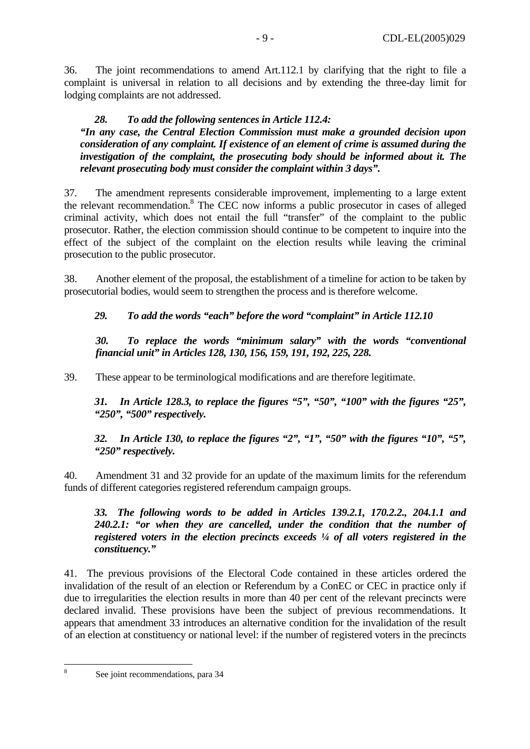36. The joint recommendations to amend Art.112.1 by clarifying that the right to file a complaint is universal in relation to all decisions and by extending the three-day limit for lodging complaints are not addressed.

### *28. To add the following sentences in Article 112.4:*

*"In any case, the Central Election Commission must make a grounded decision upon consideration of any complaint. If existence of an element of crime is assumed during the investigation of the complaint, the prosecuting body should be informed about it. The relevant prosecuting body must consider the complaint within 3 days".* 

37. The amendment represents considerable improvement, implementing to a large extent the relevant recommendation.<sup>[8](#page-8-0)</sup> The CEC now informs a public prosecutor in cases of alleged criminal activity, which does not entail the full "transfer" of the complaint to the public prosecutor. Rather, the election commission should continue to be competent to inquire into the effect of the subject of the complaint on the election results while leaving the criminal prosecution to the public prosecutor.

38. Another element of the proposal, the establishment of a timeline for action to be taken by prosecutorial bodies, would seem to strengthen the process and is therefore welcome.

#### *29. To add the words "each" before the word "complaint" in Article 112.10*

*30. To replace the words "minimum salary" with the words "conventional financial unit" in Articles 128, 130, 156, 159, 191, 192, 225, 228.* 

39. These appear to be terminological modifications and are therefore legitimate.

*31. In Article 128.3, to replace the figures "5", "50", "100" with the figures "25", "250", "500" respectively.* 

*32. In Article 130, to replace the figures "2", "1", "50" with the figures "10", "5", "250" respectively.* 

40. Amendment 31 and 32 provide for an update of the maximum limits for the referendum funds of different categories registered referendum campaign groups.

*33. The following words to be added in Articles 139.2.1, 170.2.2., 204.1.1 and 240.2.1: "or when they are cancelled, under the condition that the number of registered voters in the election precincts exceeds ¼ of all voters registered in the constituency."* 

41. The previous provisions of the Electoral Code contained in these articles ordered the invalidation of the result of an election or Referendum by a ConEC or CEC in practice only if due to irregularities the election results in more than 40 per cent of the relevant precincts were declared invalid. These provisions have been the subject of previous recommendations. It appears that amendment 33 introduces an alternative condition for the invalidation of the result of an election at constituency or national level: if the number of registered voters in the precincts

<span id="page-8-0"></span> 8

See joint recommendations, para 34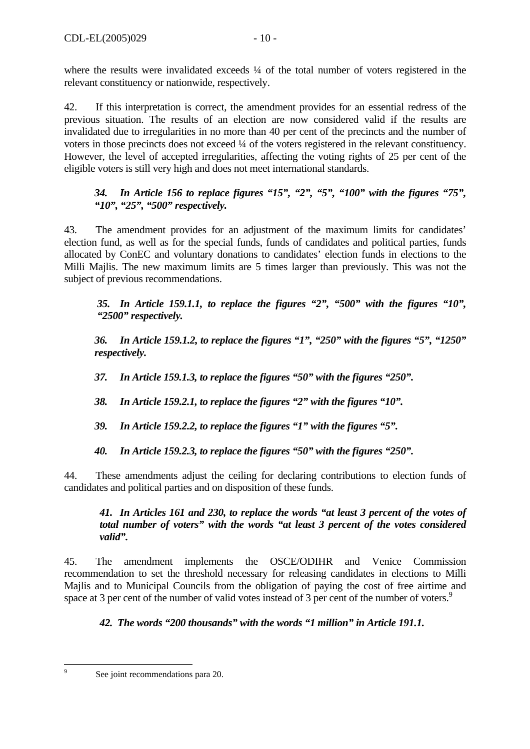where the results were invalidated exceeds  $\frac{1}{4}$  of the total number of voters registered in the relevant constituency or nationwide, respectively.

42. If this interpretation is correct, the amendment provides for an essential redress of the previous situation. The results of an election are now considered valid if the results are invalidated due to irregularities in no more than 40 per cent of the precincts and the number of voters in those precincts does not exceed ¼ of the voters registered in the relevant constituency. However, the level of accepted irregularities, affecting the voting rights of 25 per cent of the eligible voters is still very high and does not meet international standards.

## *34. In Article 156 to replace figures "15", "2", "5", "100" with the figures "75", "10", "25", "500" respectively.*

43. The amendment provides for an adjustment of the maximum limits for candidates' election fund, as well as for the special funds, funds of candidates and political parties, funds allocated by ConEC and voluntary donations to candidates' election funds in elections to the Milli Majlis. The new maximum limits are 5 times larger than previously. This was not the subject of previous recommendations.

*35. In Article 159.1.1, to replace the figures "2", "500" with the figures "10", "2500" respectively.* 

*36. In Article 159.1.2, to replace the figures "1", "250" with the figures "5", "1250" respectively.* 

*37. In Article 159.1.3, to replace the figures "50" with the figures "250".* 

*38. In Article 159.2.1, to replace the figures "2" with the figures "10".* 

*39. In Article 159.2.2, to replace the figures "1" with the figures "5".* 

*40. In Article 159.2.3, to replace the figures "50" with the figures "250".* 

44. These amendments adjust the ceiling for declaring contributions to election funds of candidates and political parties and on disposition of these funds.

## *41. In Articles 161 and 230, to replace the words "at least 3 percent of the votes of total number of voters" with the words "at least 3 percent of the votes considered valid".*

45. The amendment implements the OSCE/ODIHR and Venice Commission recommendation to set the threshold necessary for releasing candidates in elections to Milli Majlis and to Municipal Councils from the obligation of paying the cost of free airtime and space at 3 per cent of the number of valid votes instead of 3 per cent of the number of voters.<sup>9</sup>

*42. The words "200 thousands" with the words "1 million" in Article 191.1.*

<span id="page-9-0"></span><sup>-&</sup>lt;br>9

See joint recommendations para 20.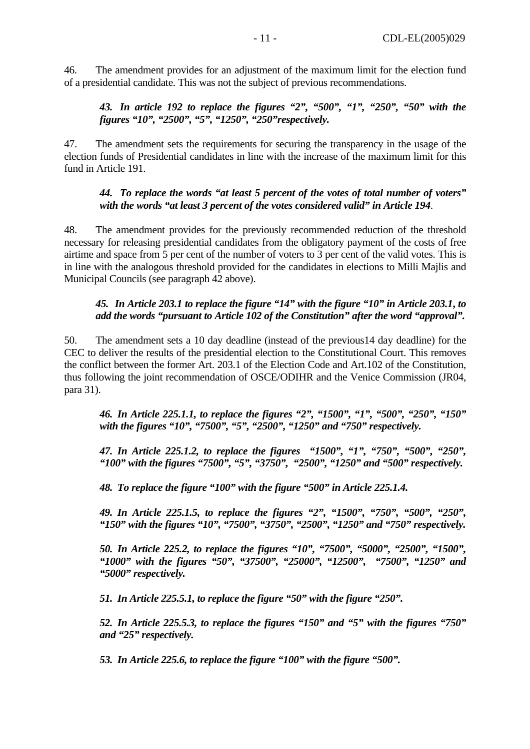46. The amendment provides for an adjustment of the maximum limit for the election fund of a presidential candidate. This was not the subject of previous recommendations.

*43. In article 192 to replace the figures "2", "500", "1", "250", "50" with the figures "10", "2500", "5", "1250", "250"respectively.* 

47. The amendment sets the requirements for securing the transparency in the usage of the election funds of Presidential candidates in line with the increase of the maximum limit for this fund in Article 191.

#### *44. To replace the words "at least 5 percent of the votes of total number of voters" with the words "at least 3 percent of the votes considered valid" in Article 194*.

48. The amendment provides for the previously recommended reduction of the threshold necessary for releasing presidential candidates from the obligatory payment of the costs of free airtime and space from 5 per cent of the number of voters to 3 per cent of the valid votes. This is in line with the analogous threshold provided for the candidates in elections to Milli Majlis and Municipal Councils (see paragraph 42 above).

#### *45. In Article 203.1 to replace the figure "14" with the figure "10" in Article 203.1***,** *to add the words "pursuant to Article 102 of the Constitution" after the word "approval".*

50. The amendment sets a 10 day deadline (instead of the previous14 day deadline) for the CEC to deliver the results of the presidential election to the Constitutional Court. This removes the conflict between the former Art. 203.1 of the Election Code and Art.102 of the Constitution, thus following the joint recommendation of OSCE/ODIHR and the Venice Commission (JR04, para 31).

*46. In Article 225.1.1, to replace the figures "2", "1500", "1", "500", "250", "150" with the figures "10", "7500", "5", "2500", "1250" and "750" respectively.*

*47. In Article 225.1.2, to replace the figures "1500", "1", "750", "500", "250", "100" with the figures "7500", "5", "3750", "2500", "1250" and "500" respectively.* 

*48. To replace the figure "100" with the figure "500" in Article 225.1.4.* 

*49. In Article 225.1.5, to replace the figures "2", "1500", "750", "500", "250", "150" with the figures "10", "7500", "3750", "2500", "1250" and "750" respectively.* 

*50. In Article 225.2, to replace the figures "10", "7500", "5000", "2500", "1500", "1000" with the figures "50", "37500", "25000", "12500", "7500", "1250" and "5000" respectively.* 

*51. In Article 225.5.1, to replace the figure "50" with the figure "250".* 

*52. In Article 225.5.3, to replace the figures "150" and "5" with the figures "750" and "25" respectively.* 

*53. In Article 225.6, to replace the figure "100" with the figure "500".*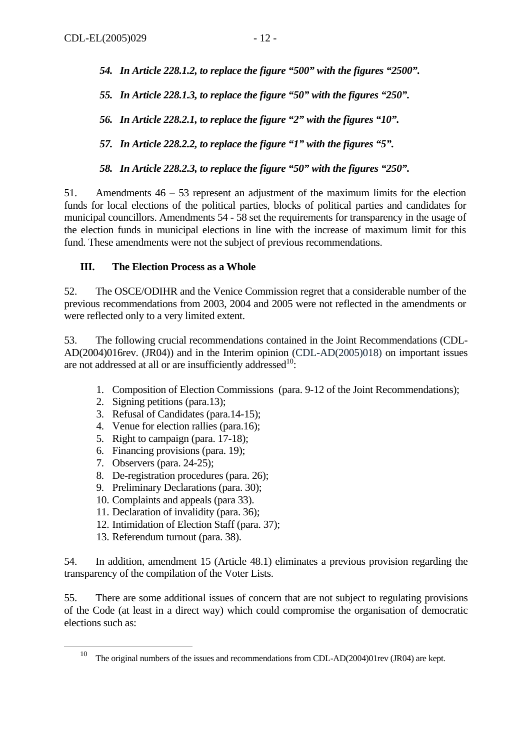- *54. In Article 228.1.2, to replace the figure "500" with the figures "2500".*
- *55. In Article 228.1.3, to replace the figure "50" with the figures "250".*
- *56. In Article 228.2.1, to replace the figure "2" with the figures "10".*
- *57. In Article 228.2.2, to replace the figure "1" with the figures "5".*
- *58. In Article 228.2.3, to replace the figure "50" with the figures "250".*

51. Amendments 46 – 53 represent an adjustment of the maximum limits for the election funds for local elections of the political parties, blocks of political parties and candidates for municipal councillors. Amendments 54 - 58 set the requirements for transparency in the usage of the election funds in municipal elections in line with the increase of maximum limit for this fund. These amendments were not the subject of previous recommendations.

#### **III. The Election Process as a Whole**

52. The OSCE/ODIHR and the Venice Commission regret that a considerable number of the previous recommendations from 2003, 2004 and 2005 were not reflected in the amendments or were reflected only to a very limited extent.

53. The following crucial recommendations contained in the Joint Recommendations (CDL-AD(2004)016rev. (JR04)) and in the Interim opinion (CDL-AD(2005)018) on important issues are not addressed at all or are insufficiently addressed $10$ :

- 1. Composition of Election Commissions (para. 9-12 of the Joint Recommendations);
- 2. Signing petitions (para.13);
- 3. Refusal of Candidates (para.14-15);
- 4. Venue for election rallies (para.16);
- 5. Right to campaign (para. 17-18);
- 6. Financing provisions (para. 19);
- 7. Observers (para. 24-25);
- 8. De-registration procedures (para. 26);
- 9. Preliminary Declarations (para. 30);
- 10. Complaints and appeals (para 33).
- 11. Declaration of invalidity (para. 36);
- 12. Intimidation of Election Staff (para. 37);
- 13. Referendum turnout (para. 38).

54. In addition, amendment 15 (Article 48.1) eliminates a previous provision regarding the transparency of the compilation of the Voter Lists.

55. There are some additional issues of concern that are not subject to regulating provisions of the Code (at least in a direct way) which could compromise the organisation of democratic elections such as:

<span id="page-11-0"></span>The original numbers of the issues and recommendations from CDL-AD(2004)01rev (JR04) are kept.